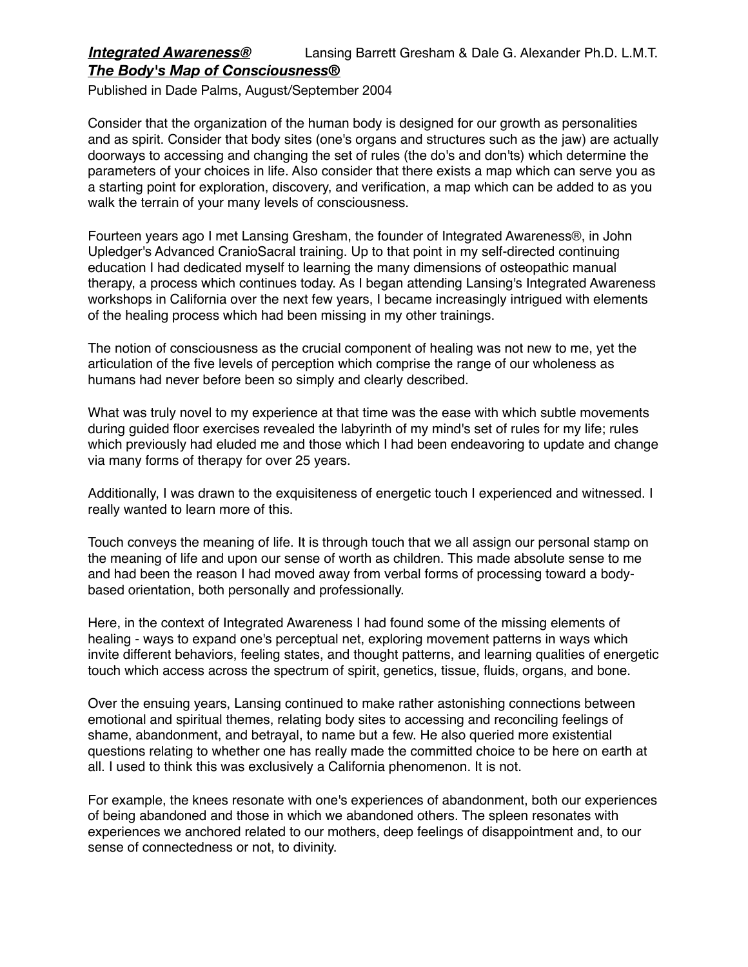## *Integrated Awareness®* Lansing Barrett Gresham & Dale G. Alexander Ph.D. L.M.T. *The Body's Map of Consciousness®*

Published in Dade Palms, August/September 2004

Consider that the organization of the human body is designed for our growth as personalities and as spirit. Consider that body sites (one's organs and structures such as the jaw) are actually doorways to accessing and changing the set of rules (the do's and don'ts) which determine the parameters of your choices in life. Also consider that there exists a map which can serve you as a starting point for exploration, discovery, and verification, a map which can be added to as you walk the terrain of your many levels of consciousness.

Fourteen years ago I met Lansing Gresham, the founder of Integrated Awareness®, in John Upledger's Advanced CranioSacral training. Up to that point in my self-directed continuing education I had dedicated myself to learning the many dimensions of osteopathic manual therapy, a process which continues today. As I began attending Lansing's Integrated Awareness workshops in California over the next few years, I became increasingly intrigued with elements of the healing process which had been missing in my other trainings.

The notion of consciousness as the crucial component of healing was not new to me, yet the articulation of the five levels of perception which comprise the range of our wholeness as humans had never before been so simply and clearly described.

What was truly novel to my experience at that time was the ease with which subtle movements during guided floor exercises revealed the labyrinth of my mind's set of rules for my life; rules which previously had eluded me and those which I had been endeavoring to update and change via many forms of therapy for over 25 years.

Additionally, I was drawn to the exquisiteness of energetic touch I experienced and witnessed. I really wanted to learn more of this.

Touch conveys the meaning of life. It is through touch that we all assign our personal stamp on the meaning of life and upon our sense of worth as children. This made absolute sense to me and had been the reason I had moved away from verbal forms of processing toward a bodybased orientation, both personally and professionally.

Here, in the context of Integrated Awareness I had found some of the missing elements of healing - ways to expand one's perceptual net, exploring movement patterns in ways which invite different behaviors, feeling states, and thought patterns, and learning qualities of energetic touch which access across the spectrum of spirit, genetics, tissue, fluids, organs, and bone.

Over the ensuing years, Lansing continued to make rather astonishing connections between emotional and spiritual themes, relating body sites to accessing and reconciling feelings of shame, abandonment, and betrayal, to name but a few. He also queried more existential questions relating to whether one has really made the committed choice to be here on earth at all. I used to think this was exclusively a California phenomenon. It is not.

For example, the knees resonate with one's experiences of abandonment, both our experiences of being abandoned and those in which we abandoned others. The spleen resonates with experiences we anchored related to our mothers, deep feelings of disappointment and, to our sense of connectedness or not, to divinity.